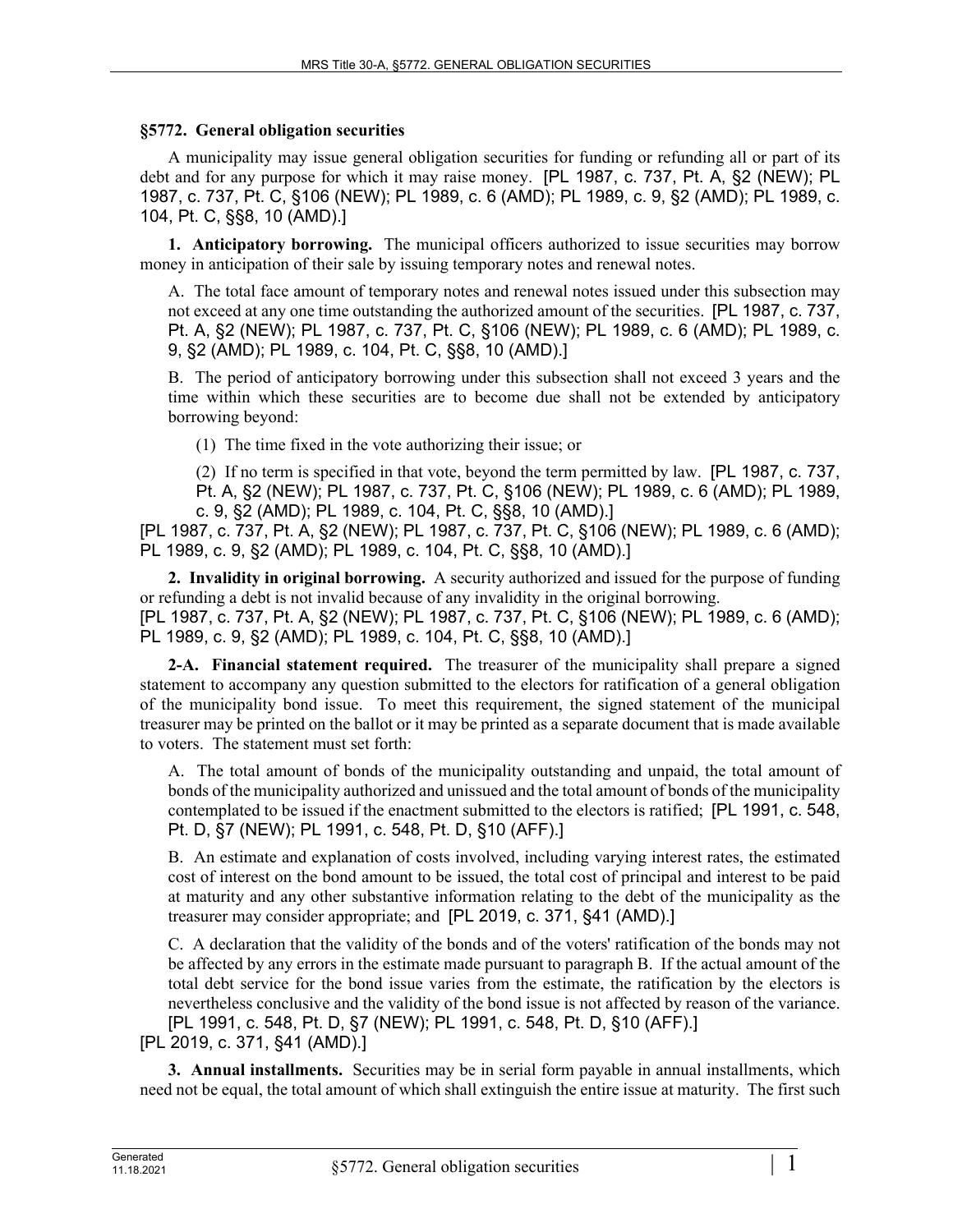## **§5772. General obligation securities**

A municipality may issue general obligation securities for funding or refunding all or part of its debt and for any purpose for which it may raise money. [PL 1987, c. 737, Pt. A, §2 (NEW); PL 1987, c. 737, Pt. C, §106 (NEW); PL 1989, c. 6 (AMD); PL 1989, c. 9, §2 (AMD); PL 1989, c. 104, Pt. C, §§8, 10 (AMD).]

**1. Anticipatory borrowing.** The municipal officers authorized to issue securities may borrow money in anticipation of their sale by issuing temporary notes and renewal notes.

A. The total face amount of temporary notes and renewal notes issued under this subsection may not exceed at any one time outstanding the authorized amount of the securities. [PL 1987, c. 737, Pt. A, §2 (NEW); PL 1987, c. 737, Pt. C, §106 (NEW); PL 1989, c. 6 (AMD); PL 1989, c. 9, §2 (AMD); PL 1989, c. 104, Pt. C, §§8, 10 (AMD).]

B. The period of anticipatory borrowing under this subsection shall not exceed 3 years and the time within which these securities are to become due shall not be extended by anticipatory borrowing beyond:

(1) The time fixed in the vote authorizing their issue; or

(2) If no term is specified in that vote, beyond the term permitted by law. [PL 1987, c. 737, Pt. A, §2 (NEW); PL 1987, c. 737, Pt. C, §106 (NEW); PL 1989, c. 6 (AMD); PL 1989, c. 9, §2 (AMD); PL 1989, c. 104, Pt. C, §§8, 10 (AMD).]

[PL 1987, c. 737, Pt. A, §2 (NEW); PL 1987, c. 737, Pt. C, §106 (NEW); PL 1989, c. 6 (AMD); PL 1989, c. 9, §2 (AMD); PL 1989, c. 104, Pt. C, §§8, 10 (AMD).]

**2. Invalidity in original borrowing.** A security authorized and issued for the purpose of funding or refunding a debt is not invalid because of any invalidity in the original borrowing. [PL 1987, c. 737, Pt. A, §2 (NEW); PL 1987, c. 737, Pt. C, §106 (NEW); PL 1989, c. 6 (AMD); PL 1989, c. 9, §2 (AMD); PL 1989, c. 104, Pt. C, §§8, 10 (AMD).]

**2-A. Financial statement required.** The treasurer of the municipality shall prepare a signed statement to accompany any question submitted to the electors for ratification of a general obligation of the municipality bond issue. To meet this requirement, the signed statement of the municipal treasurer may be printed on the ballot or it may be printed as a separate document that is made available to voters. The statement must set forth:

A. The total amount of bonds of the municipality outstanding and unpaid, the total amount of bonds of the municipality authorized and unissued and the total amount of bonds of the municipality contemplated to be issued if the enactment submitted to the electors is ratified; [PL 1991, c. 548, Pt. D, §7 (NEW); PL 1991, c. 548, Pt. D, §10 (AFF).]

B. An estimate and explanation of costs involved, including varying interest rates, the estimated cost of interest on the bond amount to be issued, the total cost of principal and interest to be paid at maturity and any other substantive information relating to the debt of the municipality as the treasurer may consider appropriate; and [PL 2019, c. 371, §41 (AMD).]

C. A declaration that the validity of the bonds and of the voters' ratification of the bonds may not be affected by any errors in the estimate made pursuant to paragraph B. If the actual amount of the total debt service for the bond issue varies from the estimate, the ratification by the electors is nevertheless conclusive and the validity of the bond issue is not affected by reason of the variance. [PL 1991, c. 548, Pt. D, §7 (NEW); PL 1991, c. 548, Pt. D, §10 (AFF).] [PL 2019, c. 371, §41 (AMD).]

**3. Annual installments.** Securities may be in serial form payable in annual installments, which need not be equal, the total amount of which shall extinguish the entire issue at maturity. The first such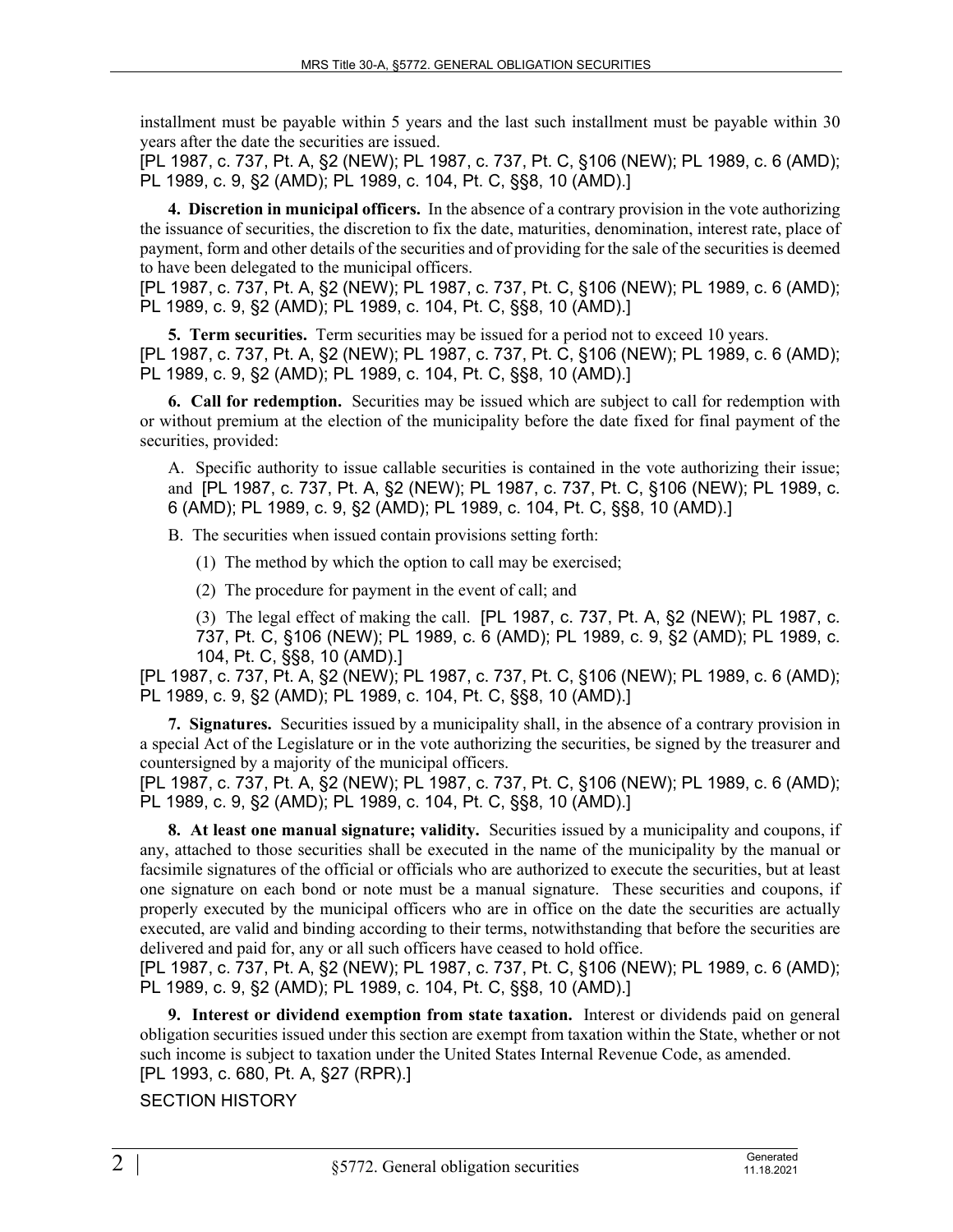installment must be payable within 5 years and the last such installment must be payable within 30 years after the date the securities are issued.

[PL 1987, c. 737, Pt. A, §2 (NEW); PL 1987, c. 737, Pt. C, §106 (NEW); PL 1989, c. 6 (AMD); PL 1989, c. 9, §2 (AMD); PL 1989, c. 104, Pt. C, §§8, 10 (AMD).]

**4. Discretion in municipal officers.** In the absence of a contrary provision in the vote authorizing the issuance of securities, the discretion to fix the date, maturities, denomination, interest rate, place of payment, form and other details of the securities and of providing for the sale of the securities is deemed to have been delegated to the municipal officers.

[PL 1987, c. 737, Pt. A, §2 (NEW); PL 1987, c. 737, Pt. C, §106 (NEW); PL 1989, c. 6 (AMD); PL 1989, c. 9, §2 (AMD); PL 1989, c. 104, Pt. C, §§8, 10 (AMD).]

**5. Term securities.** Term securities may be issued for a period not to exceed 10 years. [PL 1987, c. 737, Pt. A, §2 (NEW); PL 1987, c. 737, Pt. C, §106 (NEW); PL 1989, c. 6 (AMD); PL 1989, c. 9, §2 (AMD); PL 1989, c. 104, Pt. C, §§8, 10 (AMD).]

**6. Call for redemption.** Securities may be issued which are subject to call for redemption with or without premium at the election of the municipality before the date fixed for final payment of the securities, provided:

A. Specific authority to issue callable securities is contained in the vote authorizing their issue; and [PL 1987, c. 737, Pt. A, §2 (NEW); PL 1987, c. 737, Pt. C, §106 (NEW); PL 1989, c. 6 (AMD); PL 1989, c. 9, §2 (AMD); PL 1989, c. 104, Pt. C, §§8, 10 (AMD).]

B. The securities when issued contain provisions setting forth:

(1) The method by which the option to call may be exercised;

(2) The procedure for payment in the event of call; and

(3) The legal effect of making the call. [PL 1987, c. 737, Pt. A, §2 (NEW); PL 1987, c. 737, Pt. C, §106 (NEW); PL 1989, c. 6 (AMD); PL 1989, c. 9, §2 (AMD); PL 1989, c. 104, Pt. C, §§8, 10 (AMD).]

[PL 1987, c. 737, Pt. A, §2 (NEW); PL 1987, c. 737, Pt. C, §106 (NEW); PL 1989, c. 6 (AMD); PL 1989, c. 9, §2 (AMD); PL 1989, c. 104, Pt. C, §§8, 10 (AMD).]

**7. Signatures.** Securities issued by a municipality shall, in the absence of a contrary provision in a special Act of the Legislature or in the vote authorizing the securities, be signed by the treasurer and countersigned by a majority of the municipal officers.

[PL 1987, c. 737, Pt. A, §2 (NEW); PL 1987, c. 737, Pt. C, §106 (NEW); PL 1989, c. 6 (AMD); PL 1989, c. 9, §2 (AMD); PL 1989, c. 104, Pt. C, §§8, 10 (AMD).]

**8. At least one manual signature; validity.** Securities issued by a municipality and coupons, if any, attached to those securities shall be executed in the name of the municipality by the manual or facsimile signatures of the official or officials who are authorized to execute the securities, but at least one signature on each bond or note must be a manual signature. These securities and coupons, if properly executed by the municipal officers who are in office on the date the securities are actually executed, are valid and binding according to their terms, notwithstanding that before the securities are delivered and paid for, any or all such officers have ceased to hold office.

[PL 1987, c. 737, Pt. A, §2 (NEW); PL 1987, c. 737, Pt. C, §106 (NEW); PL 1989, c. 6 (AMD); PL 1989, c. 9, §2 (AMD); PL 1989, c. 104, Pt. C, §§8, 10 (AMD).]

**9. Interest or dividend exemption from state taxation.** Interest or dividends paid on general obligation securities issued under this section are exempt from taxation within the State, whether or not such income is subject to taxation under the United States Internal Revenue Code, as amended. [PL 1993, c. 680, Pt. A, §27 (RPR).]

## SECTION HISTORY